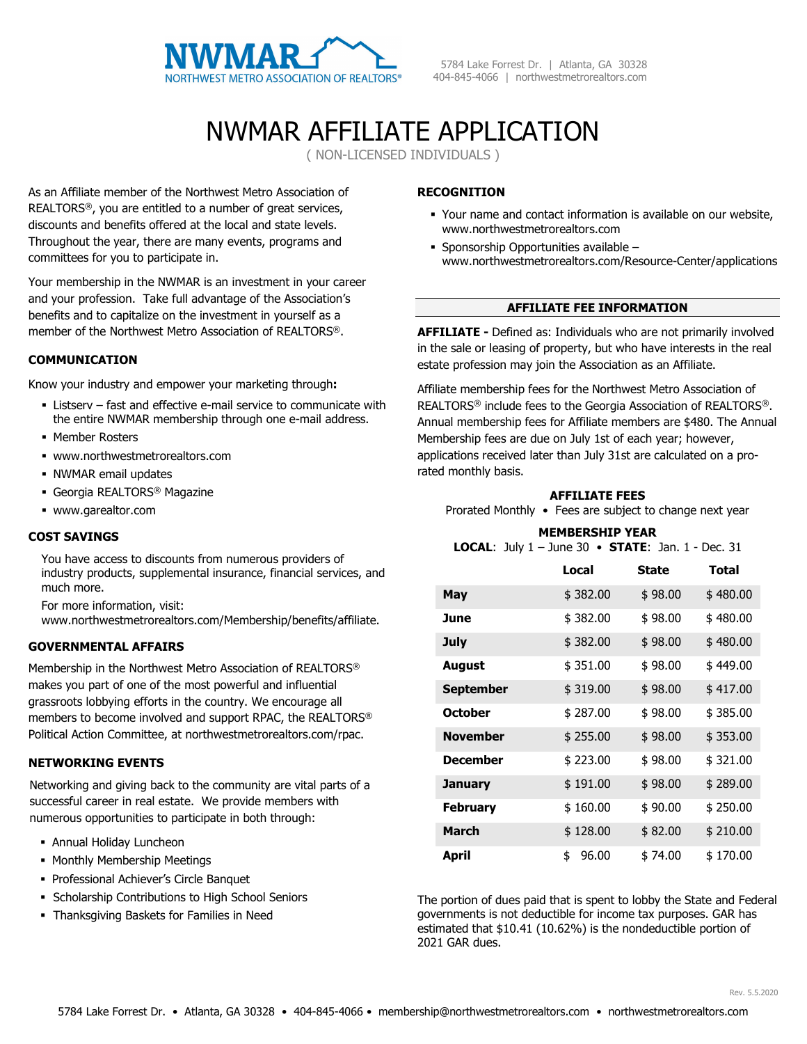

## NWMAR AFFILIATE APPLICATION

( NON-LICENSED INDIVIDUALS )

As an Affiliate member of the Northwest Metro Association of REALTORS®, you are entitled to a number of great services, discounts and benefits offered at the local and state levels. Throughout the year, there are many events, programs and committees for you to participate in.

Your membership in the NWMAR is an investment in your career and your profession. Take full advantage of the Association's benefits and to capitalize on the investment in yourself as a member of the Northwest Metro Association of REALTORS®.

## **COMMUNICATION**

Know your industry and empower your marketing through**:**

- Listserv fast and effective e-mail service to communicate with the entire NWMAR membership through one e-mail address.
- **Member Rosters**
- www.northwestmetrorealtors.com
- NWMAR email updates
- Georgia REALTORS® Magazine
- www.garealtor.com

#### **COST SAVINGS**

You have access to discounts from numerous providers of industry products, supplemental insurance, financial services, and much more.

For more information, visit:

www.northwestmetrorealtors.com/Membership/benefits/affiliate.

## **GOVERNMENTAL AFFAIRS**

Membership in the Northwest Metro Association of REALTORS® makes you part of one of the most powerful and influential grassroots lobbying efforts in the country. We encourage all members to become involved and support RPAC, the REALTORS® Political Action Committee, at northwestmetrorealtors.com/rpac.

## **NETWORKING EVENTS**

Networking and giving back to the community are vital parts of a successful career in real estate. We provide members with numerous opportunities to participate in both through:

- Annual Holiday Luncheon
- **Monthly Membership Meetings**
- Professional Achiever's Circle Banquet
- **Scholarship Contributions to High School Seniors**
- Thanksgiving Baskets for Families in Need

## **RECOGNITION**

- Your name and contact information is available on our website, www.northwestmetrorealtors.com
- Sponsorship Opportunities available www.northwestmetrorealtors.com/Resource-Center/applications

## **AFFILIATE FEE INFORMATION**

**AFFILIATE -** Defined as: Individuals who are not primarily involved in the sale or leasing of property, but who have interests in the real estate profession may join the Association as an Affiliate.

Affiliate membership fees for the Northwest Metro Association of REALTORS® include fees to the Georgia Association of REALTORS®. Annual membership fees for Affiliate members are \$480. The Annual Membership fees are due on July 1st of each year; however, applications received later than July 31st are calculated on a prorated monthly basis.

## **AFFILIATE FEES**

Prorated Monthly • Fees are subject to change next year

#### **MEMBERSHIP YEAR LOCAL**: July 1 – June 30 • **STATE**: Jan. 1 - Dec. 31

|                  | Local       | <b>State</b> | <b>Total</b> |
|------------------|-------------|--------------|--------------|
| May              | \$382.00    | \$98.00      | \$480.00     |
| June             | \$382.00    | \$98.00      | \$480.00     |
| <b>July</b>      | \$382.00    | \$98.00      | \$480.00     |
| August           | \$351.00    | \$98.00      | \$449.00     |
| <b>September</b> | \$319.00    | \$98.00      | \$417.00     |
| <b>October</b>   | \$287.00    | \$98.00      | \$385.00     |
| <b>November</b>  | \$255.00    | \$98.00      | \$353.00     |
| <b>December</b>  | \$223.00    | \$98.00      | \$321.00     |
| January          | \$191.00    | \$98.00      | \$289.00     |
| <b>February</b>  | \$160.00    | \$90.00      | \$250.00     |
| <b>March</b>     | \$128.00    | \$82.00      | \$210.00     |
| April            | \$<br>96.00 | \$74.00      | \$170.00     |

The portion of dues paid that is spent to lobby the State and Federal governments is not deductible for income tax purposes. GAR has estimated that \$10.41 (10.62%) is the nondeductible portion of 2021 GAR dues.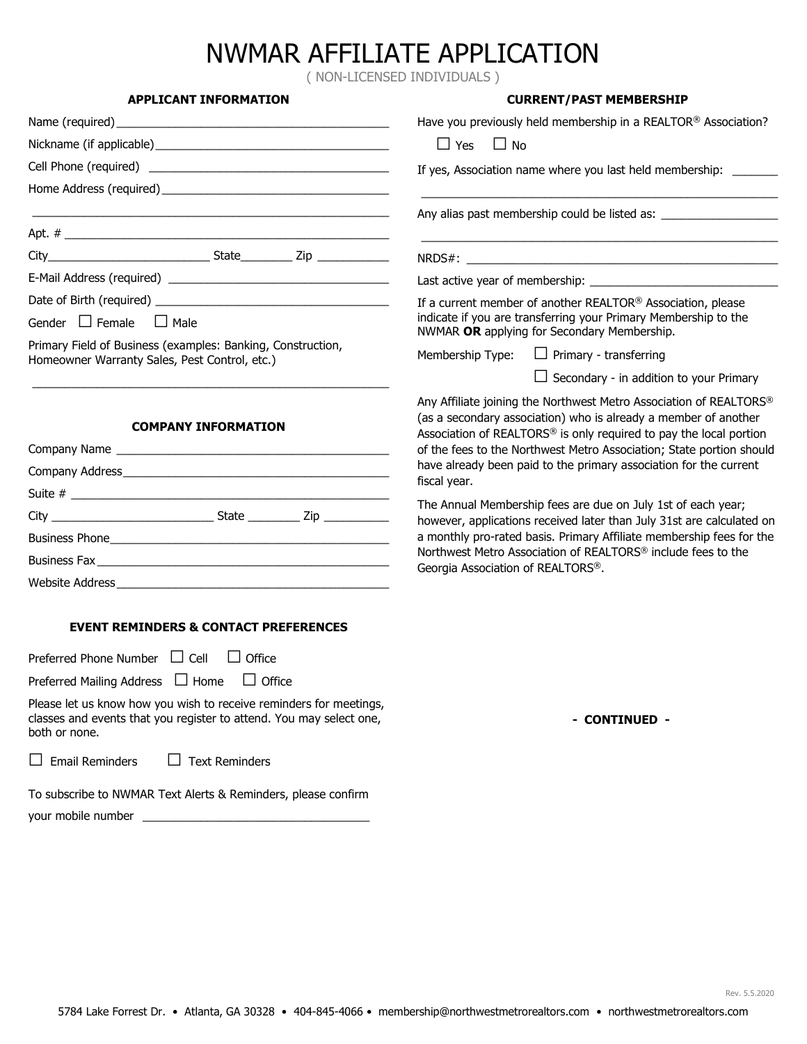# NWMAR AFFILIATE APPLICATION

( NON-LICENSED INDIVIDUALS )

| <b>APPLICANT INFORMATION</b>                                                                                                                                                                                                   | <b>CURRENT/PAST MEMBERSHIP</b>                                                                                                                                                                                                                                                      |  |
|--------------------------------------------------------------------------------------------------------------------------------------------------------------------------------------------------------------------------------|-------------------------------------------------------------------------------------------------------------------------------------------------------------------------------------------------------------------------------------------------------------------------------------|--|
| Name (required)                                                                                                                                                                                                                | Have you previously held membership in a REALTOR® Association?                                                                                                                                                                                                                      |  |
|                                                                                                                                                                                                                                | $\Box$ Yes<br>$\Box$ No                                                                                                                                                                                                                                                             |  |
|                                                                                                                                                                                                                                | If yes, Association name where you last held membership: _____                                                                                                                                                                                                                      |  |
| Home Address (required) Manual Address (required)                                                                                                                                                                              |                                                                                                                                                                                                                                                                                     |  |
|                                                                                                                                                                                                                                | Any alias past membership could be listed as: __________________________________                                                                                                                                                                                                    |  |
|                                                                                                                                                                                                                                |                                                                                                                                                                                                                                                                                     |  |
|                                                                                                                                                                                                                                |                                                                                                                                                                                                                                                                                     |  |
|                                                                                                                                                                                                                                | Last active year of membership:                                                                                                                                                                                                                                                     |  |
|                                                                                                                                                                                                                                | If a current member of another REALTOR® Association, please                                                                                                                                                                                                                         |  |
| Gender $\Box$ Female $\Box$ Male                                                                                                                                                                                               | indicate if you are transferring your Primary Membership to the<br>NWMAR OR applying for Secondary Membership.                                                                                                                                                                      |  |
| Primary Field of Business (examples: Banking, Construction,<br>Homeowner Warranty Sales, Pest Control, etc.)                                                                                                                   | $\Box$ Primary - transferring<br>Membership Type:                                                                                                                                                                                                                                   |  |
|                                                                                                                                                                                                                                | $\Box$ Secondary - in addition to your Primary                                                                                                                                                                                                                                      |  |
| <b>COMPANY INFORMATION</b>                                                                                                                                                                                                     | Any Affiliate joining the Northwest Metro Association of REALTORS®<br>(as a secondary association) who is already a member of another<br>Association of REALTORS® is only required to pay the local portion<br>of the fees to the Northwest Metro Association; State portion should |  |
|                                                                                                                                                                                                                                | have already been paid to the primary association for the current                                                                                                                                                                                                                   |  |
|                                                                                                                                                                                                                                | fiscal year.                                                                                                                                                                                                                                                                        |  |
|                                                                                                                                                                                                                                | The Annual Membership fees are due on July 1st of each year;<br>however, applications received later than July 31st are calculated on                                                                                                                                               |  |
|                                                                                                                                                                                                                                | a monthly pro-rated basis. Primary Affiliate membership fees for the                                                                                                                                                                                                                |  |
|                                                                                                                                                                                                                                | Northwest Metro Association of REALTORS® include fees to the<br>Georgia Association of REALTORS®.                                                                                                                                                                                   |  |
| Website Address New York Changes and Changes and Changes and Changes and Changes and Changes and Changes and Changes and Changes and Changes and Changes and Changes and Changes and Changes and Changes and Changes and Chang |                                                                                                                                                                                                                                                                                     |  |
| <b>EVENT REMINDERS &amp; CONTACT PREFERENCES</b>                                                                                                                                                                               |                                                                                                                                                                                                                                                                                     |  |
| Preferred Phone Number $\Box$ Cell<br>$\Box$ Office                                                                                                                                                                            |                                                                                                                                                                                                                                                                                     |  |
| Preferred Mailing Address $\Box$ Home<br>$\Box$ Office                                                                                                                                                                         |                                                                                                                                                                                                                                                                                     |  |
| Please let us know how you wish to receive reminders for meetings,<br>classes and events that you register to attend. You may select one,<br>both or none.                                                                     | - CONTINUED -                                                                                                                                                                                                                                                                       |  |
| $\Box$ Text Reminders<br>$\Box$ Email Reminders                                                                                                                                                                                |                                                                                                                                                                                                                                                                                     |  |
| To subscribe to NWMAR Text Alerts & Reminders, please confirm                                                                                                                                                                  |                                                                                                                                                                                                                                                                                     |  |
| your mobile number                                                                                                                                                                                                             |                                                                                                                                                                                                                                                                                     |  |

Rev. 5.5.2020